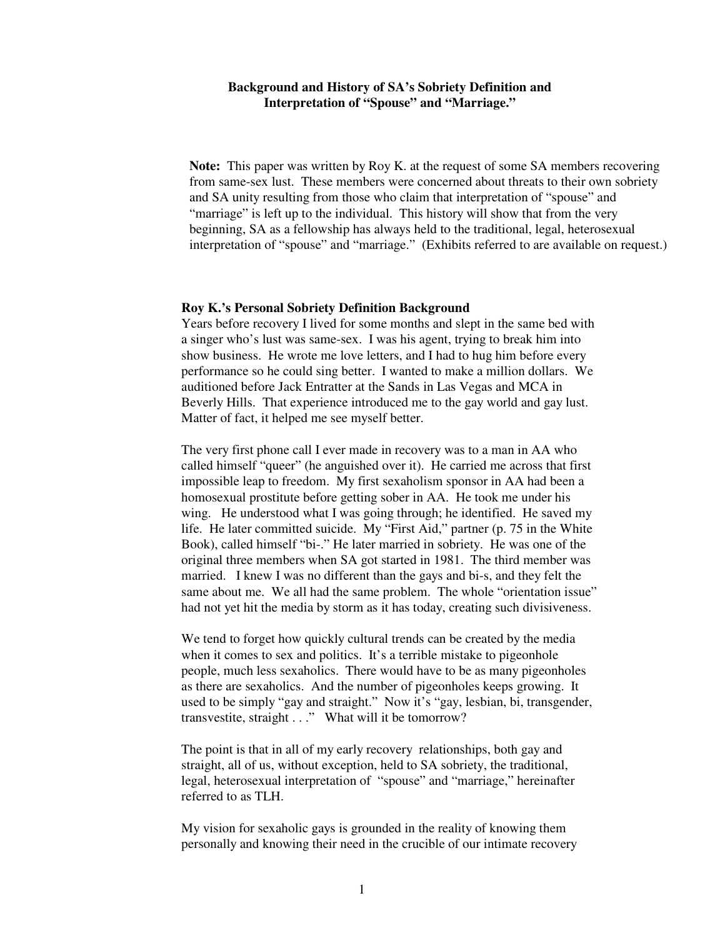# **Background and History of SA's Sobriety Definition and Interpretation of "Spouse" and "Marriage."**

**Note:** This paper was written by Roy K. at the request of some SA members recovering from same-sex lust. These members were concerned about threats to their own sobriety and SA unity resulting from those who claim that interpretation of "spouse" and "marriage" is left up to the individual. This history will show that from the very beginning, SA as a fellowship has always held to the traditional, legal, heterosexual interpretation of "spouse" and "marriage." (Exhibits referred to are available on request.)

## **Roy K.'s Personal Sobriety Definition Background**

Years before recovery I lived for some months and slept in the same bed with a singer who's lust was same-sex. I was his agent, trying to break him into show business. He wrote me love letters, and I had to hug him before every performance so he could sing better. I wanted to make a million dollars. We auditioned before Jack Entratter at the Sands in Las Vegas and MCA in Beverly Hills. That experience introduced me to the gay world and gay lust. Matter of fact, it helped me see myself better.

The very first phone call I ever made in recovery was to a man in AA who called himself "queer" (he anguished over it). He carried me across that first impossible leap to freedom. My first sexaholism sponsor in AA had been a homosexual prostitute before getting sober in AA. He took me under his wing. He understood what I was going through; he identified. He saved my life. He later committed suicide. My "First Aid," partner (p. 75 in the White Book), called himself "bi-." He later married in sobriety. He was one of the original three members when SA got started in 1981. The third member was married. I knew I was no different than the gays and bi-s, and they felt the same about me. We all had the same problem. The whole "orientation issue" had not yet hit the media by storm as it has today, creating such divisiveness.

We tend to forget how quickly cultural trends can be created by the media when it comes to sex and politics. It's a terrible mistake to pigeonhole people, much less sexaholics. There would have to be as many pigeonholes as there are sexaholics. And the number of pigeonholes keeps growing. It used to be simply "gay and straight." Now it's "gay, lesbian, bi, transgender, transvestite, straight . . ." What will it be tomorrow?

The point is that in all of my early recovery relationships, both gay and straight, all of us, without exception, held to SA sobriety, the traditional, legal, heterosexual interpretation of "spouse" and "marriage," hereinafter referred to as TLH.

My vision for sexaholic gays is grounded in the reality of knowing them personally and knowing their need in the crucible of our intimate recovery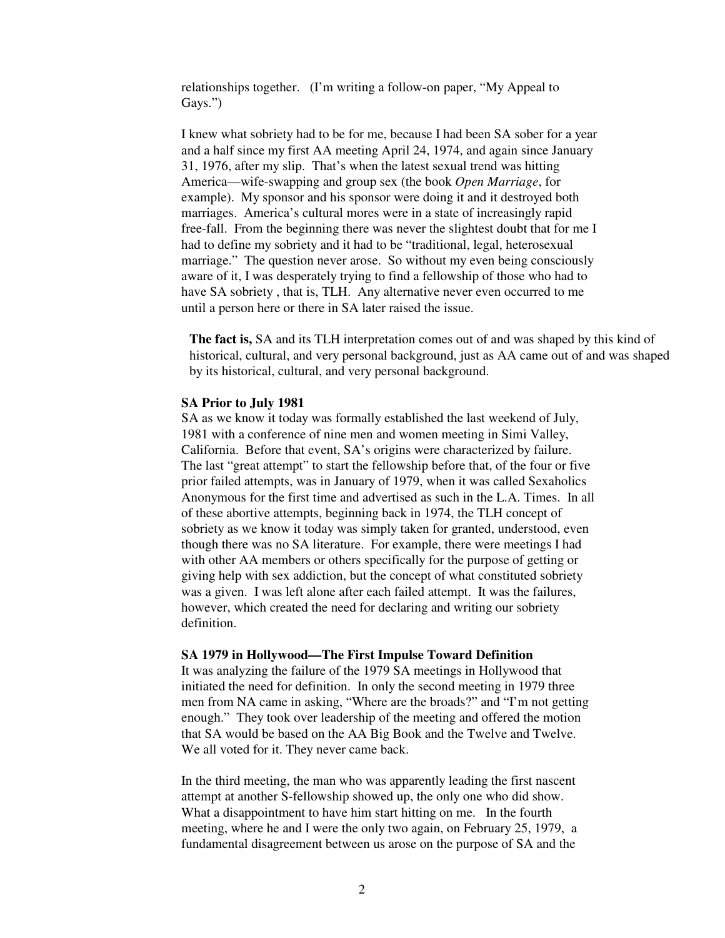relationships together. (I'm writing a follow-on paper, "My Appeal to Gays.")

I knew what sobriety had to be for me, because I had been SA sober for a year and a half since my first AA meeting April 24, 1974, and again since January 31, 1976, after my slip. That's when the latest sexual trend was hitting America—wife-swapping and group sex (the book *Open Marriage*, for example). My sponsor and his sponsor were doing it and it destroyed both marriages. America's cultural mores were in a state of increasingly rapid free-fall. From the beginning there was never the slightest doubt that for me I had to define my sobriety and it had to be "traditional, legal, heterosexual marriage." The question never arose. So without my even being consciously aware of it, I was desperately trying to find a fellowship of those who had to have SA sobriety , that is, TLH. Any alternative never even occurred to me until a person here or there in SA later raised the issue.

**The fact is,** SA and its TLH interpretation comes out of and was shaped by this kind of historical, cultural, and very personal background, just as AA came out of and was shaped by its historical, cultural, and very personal background.

### **SA Prior to July 1981**

SA as we know it today was formally established the last weekend of July, 1981 with a conference of nine men and women meeting in Simi Valley, California. Before that event, SA's origins were characterized by failure. The last "great attempt" to start the fellowship before that, of the four or five prior failed attempts, was in January of 1979, when it was called Sexaholics Anonymous for the first time and advertised as such in the L.A. Times. In all of these abortive attempts, beginning back in 1974, the TLH concept of sobriety as we know it today was simply taken for granted, understood, even though there was no SA literature. For example, there were meetings I had with other AA members or others specifically for the purpose of getting or giving help with sex addiction, but the concept of what constituted sobriety was a given. I was left alone after each failed attempt. It was the failures, however, which created the need for declaring and writing our sobriety definition.

### **SA 1979 in Hollywood—The First Impulse Toward Definition**

It was analyzing the failure of the 1979 SA meetings in Hollywood that initiated the need for definition. In only the second meeting in 1979 three men from NA came in asking, "Where are the broads?" and "I'm not getting enough." They took over leadership of the meeting and offered the motion that SA would be based on the AA Big Book and the Twelve and Twelve. We all voted for it. They never came back.

In the third meeting, the man who was apparently leading the first nascent attempt at another S-fellowship showed up, the only one who did show. What a disappointment to have him start hitting on me. In the fourth meeting, where he and I were the only two again, on February 25, 1979, a fundamental disagreement between us arose on the purpose of SA and the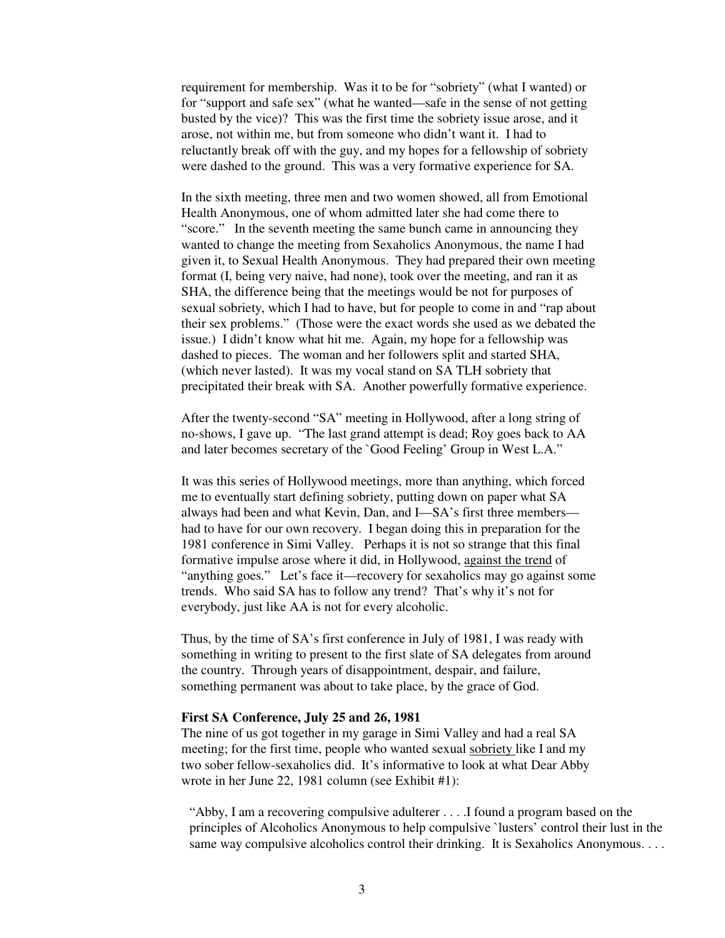requirement for membership. Was it to be for "sobriety" (what I wanted) or for "support and safe sex" (what he wanted—safe in the sense of not getting busted by the vice)? This was the first time the sobriety issue arose, and it arose, not within me, but from someone who didn't want it. I had to reluctantly break off with the guy, and my hopes for a fellowship of sobriety were dashed to the ground. This was a very formative experience for SA.

In the sixth meeting, three men and two women showed, all from Emotional Health Anonymous, one of whom admitted later she had come there to "score." In the seventh meeting the same bunch came in announcing they wanted to change the meeting from Sexaholics Anonymous, the name I had given it, to Sexual Health Anonymous. They had prepared their own meeting format (I, being very naive, had none), took over the meeting, and ran it as SHA, the difference being that the meetings would be not for purposes of sexual sobriety, which I had to have, but for people to come in and "rap about their sex problems." (Those were the exact words she used as we debated the issue.) I didn't know what hit me. Again, my hope for a fellowship was dashed to pieces. The woman and her followers split and started SHA, (which never lasted). It was my vocal stand on SA TLH sobriety that precipitated their break with SA. Another powerfully formative experience.

After the twenty-second "SA" meeting in Hollywood, after a long string of no-shows, I gave up. "The last grand attempt is dead; Roy goes back to AA and later becomes secretary of the `Good Feeling' Group in West L.A."

It was this series of Hollywood meetings, more than anything, which forced me to eventually start defining sobriety, putting down on paper what SA always had been and what Kevin, Dan, and I—SA's first three members had to have for our own recovery. I began doing this in preparation for the 1981 conference in Simi Valley. Perhaps it is not so strange that this final formative impulse arose where it did, in Hollywood, against the trend of "anything goes." Let's face it—recovery for sexaholics may go against some trends. Who said SA has to follow any trend? That's why it's not for everybody, just like AA is not for every alcoholic.

Thus, by the time of SA's first conference in July of 1981, I was ready with something in writing to present to the first slate of SA delegates from around the country. Through years of disappointment, despair, and failure, something permanent was about to take place, by the grace of God.

## **First SA Conference, July 25 and 26, 1981**

The nine of us got together in my garage in Simi Valley and had a real SA meeting; for the first time, people who wanted sexual sobriety like I and my two sober fellow-sexaholics did. It's informative to look at what Dear Abby wrote in her June 22, 1981 column (see Exhibit #1):

"Abby, I am a recovering compulsive adulterer . . . .I found a program based on the principles of Alcoholics Anonymous to help compulsive `lusters' control their lust in the same way compulsive alcoholics control their drinking. It is Sexaholics Anonymous. . . .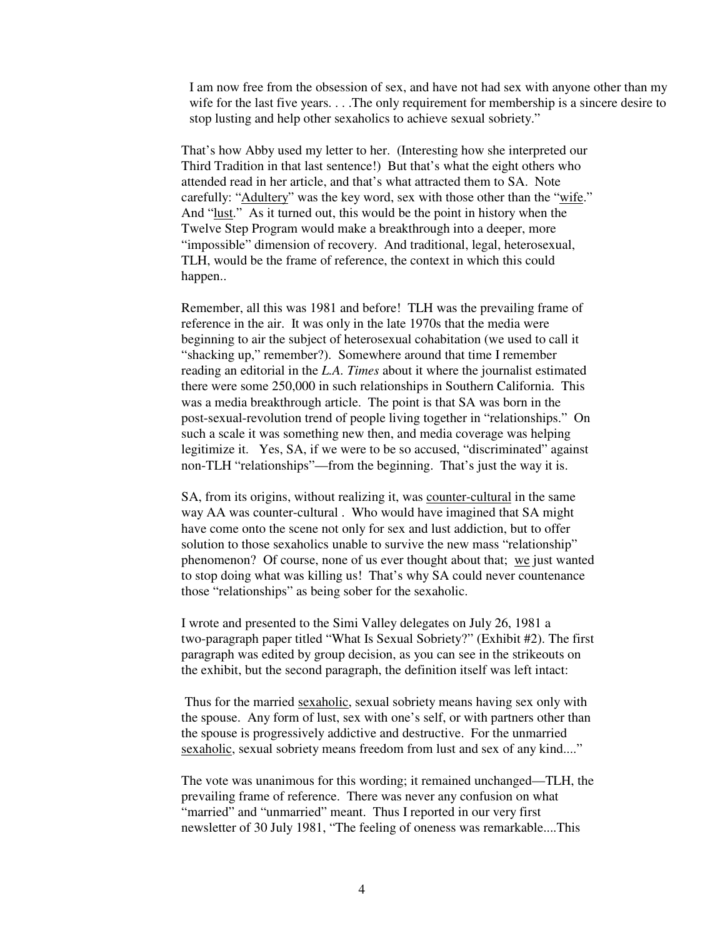I am now free from the obsession of sex, and have not had sex with anyone other than my wife for the last five years. . . .The only requirement for membership is a sincere desire to stop lusting and help other sexaholics to achieve sexual sobriety."

That's how Abby used my letter to her. (Interesting how she interpreted our Third Tradition in that last sentence!) But that's what the eight others who attended read in her article, and that's what attracted them to SA. Note carefully: "Adultery" was the key word, sex with those other than the "wife." And "lust." As it turned out, this would be the point in history when the Twelve Step Program would make a breakthrough into a deeper, more "impossible" dimension of recovery. And traditional, legal, heterosexual, TLH, would be the frame of reference, the context in which this could happen..

Remember, all this was 1981 and before! TLH was the prevailing frame of reference in the air. It was only in the late 1970s that the media were beginning to air the subject of heterosexual cohabitation (we used to call it "shacking up," remember?). Somewhere around that time I remember reading an editorial in the *L.A. Times* about it where the journalist estimated there were some 250,000 in such relationships in Southern California. This was a media breakthrough article. The point is that SA was born in the post-sexual-revolution trend of people living together in "relationships." On such a scale it was something new then, and media coverage was helping legitimize it. Yes, SA, if we were to be so accused, "discriminated" against non-TLH "relationships"—from the beginning. That's just the way it is.

SA, from its origins, without realizing it, was counter-cultural in the same way AA was counter-cultural . Who would have imagined that SA might have come onto the scene not only for sex and lust addiction, but to offer solution to those sexaholics unable to survive the new mass "relationship" phenomenon? Of course, none of us ever thought about that; we just wanted to stop doing what was killing us! That's why SA could never countenance those "relationships" as being sober for the sexaholic.

I wrote and presented to the Simi Valley delegates on July 26, 1981 a two-paragraph paper titled "What Is Sexual Sobriety?" (Exhibit #2). The first paragraph was edited by group decision, as you can see in the strikeouts on the exhibit, but the second paragraph, the definition itself was left intact:

Thus for the married sexaholic, sexual sobriety means having sex only with the spouse. Any form of lust, sex with one's self, or with partners other than the spouse is progressively addictive and destructive. For the unmarried sexaholic, sexual sobriety means freedom from lust and sex of any kind...."

The vote was unanimous for this wording; it remained unchanged—TLH, the prevailing frame of reference. There was never any confusion on what "married" and "unmarried" meant. Thus I reported in our very first newsletter of 30 July 1981, "The feeling of oneness was remarkable....This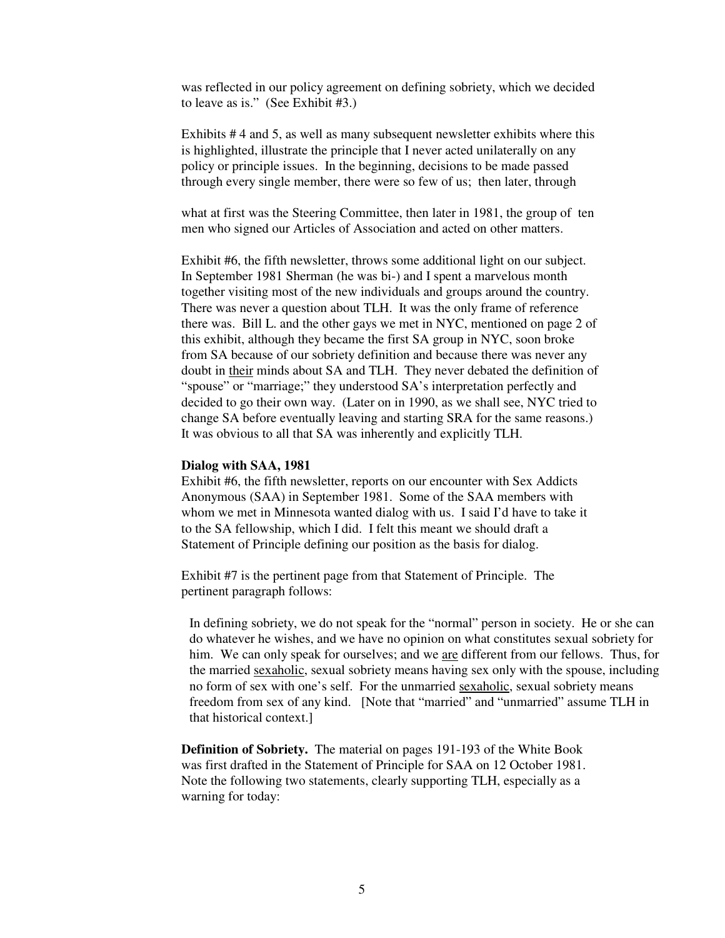was reflected in our policy agreement on defining sobriety, which we decided to leave as is." (See Exhibit #3.)

Exhibits # 4 and 5, as well as many subsequent newsletter exhibits where this is highlighted, illustrate the principle that I never acted unilaterally on any policy or principle issues. In the beginning, decisions to be made passed through every single member, there were so few of us; then later, through

what at first was the Steering Committee, then later in 1981, the group of ten men who signed our Articles of Association and acted on other matters.

Exhibit #6, the fifth newsletter, throws some additional light on our subject. In September 1981 Sherman (he was bi-) and I spent a marvelous month together visiting most of the new individuals and groups around the country. There was never a question about TLH. It was the only frame of reference there was. Bill L. and the other gays we met in NYC, mentioned on page 2 of this exhibit, although they became the first SA group in NYC, soon broke from SA because of our sobriety definition and because there was never any doubt in their minds about SA and TLH. They never debated the definition of "spouse" or "marriage;" they understood SA's interpretation perfectly and decided to go their own way. (Later on in 1990, as we shall see, NYC tried to change SA before eventually leaving and starting SRA for the same reasons.) It was obvious to all that SA was inherently and explicitly TLH.

## **Dialog with SAA, 1981**

Exhibit #6, the fifth newsletter, reports on our encounter with Sex Addicts Anonymous (SAA) in September 1981. Some of the SAA members with whom we met in Minnesota wanted dialog with us. I said I'd have to take it to the SA fellowship, which I did. I felt this meant we should draft a Statement of Principle defining our position as the basis for dialog.

Exhibit #7 is the pertinent page from that Statement of Principle. The pertinent paragraph follows:

In defining sobriety, we do not speak for the "normal" person in society. He or she can do whatever he wishes, and we have no opinion on what constitutes sexual sobriety for him. We can only speak for ourselves; and we are different from our fellows. Thus, for the married sexaholic, sexual sobriety means having sex only with the spouse, including no form of sex with one's self. For the unmarried sexaholic, sexual sobriety means freedom from sex of any kind. [Note that "married" and "unmarried" assume TLH in that historical context.]

**Definition of Sobriety.** The material on pages 191-193 of the White Book was first drafted in the Statement of Principle for SAA on 12 October 1981. Note the following two statements, clearly supporting TLH, especially as a warning for today: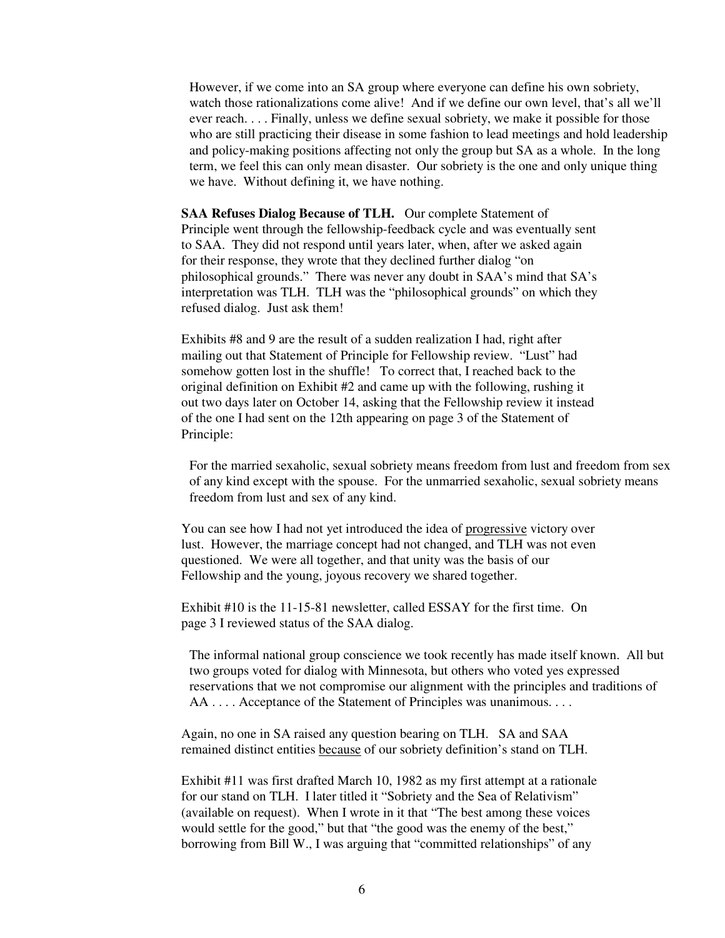However, if we come into an SA group where everyone can define his own sobriety, watch those rationalizations come alive! And if we define our own level, that's all we'll ever reach. . . . Finally, unless we define sexual sobriety, we make it possible for those who are still practicing their disease in some fashion to lead meetings and hold leadership and policy-making positions affecting not only the group but SA as a whole. In the long term, we feel this can only mean disaster. Our sobriety is the one and only unique thing we have. Without defining it, we have nothing.

**SAA Refuses Dialog Because of TLH.** Our complete Statement of Principle went through the fellowship-feedback cycle and was eventually sent to SAA. They did not respond until years later, when, after we asked again for their response, they wrote that they declined further dialog "on philosophical grounds." There was never any doubt in SAA's mind that SA's interpretation was TLH. TLH was the "philosophical grounds" on which they refused dialog. Just ask them!

Exhibits #8 and 9 are the result of a sudden realization I had, right after mailing out that Statement of Principle for Fellowship review. "Lust" had somehow gotten lost in the shuffle! To correct that, I reached back to the original definition on Exhibit #2 and came up with the following, rushing it out two days later on October 14, asking that the Fellowship review it instead of the one I had sent on the 12th appearing on page 3 of the Statement of Principle:

For the married sexaholic, sexual sobriety means freedom from lust and freedom from sex of any kind except with the spouse. For the unmarried sexaholic, sexual sobriety means freedom from lust and sex of any kind.

You can see how I had not yet introduced the idea of progressive victory over lust. However, the marriage concept had not changed, and TLH was not even questioned. We were all together, and that unity was the basis of our Fellowship and the young, joyous recovery we shared together.

Exhibit #10 is the 11-15-81 newsletter, called ESSAY for the first time. On page 3 I reviewed status of the SAA dialog.

The informal national group conscience we took recently has made itself known. All but two groups voted for dialog with Minnesota, but others who voted yes expressed reservations that we not compromise our alignment with the principles and traditions of AA . . . . Acceptance of the Statement of Principles was unanimous. . . .

Again, no one in SA raised any question bearing on TLH. SA and SAA remained distinct entities because of our sobriety definition's stand on TLH.

Exhibit #11 was first drafted March 10, 1982 as my first attempt at a rationale for our stand on TLH. I later titled it "Sobriety and the Sea of Relativism" (available on request). When I wrote in it that "The best among these voices would settle for the good," but that "the good was the enemy of the best," borrowing from Bill W., I was arguing that "committed relationships" of any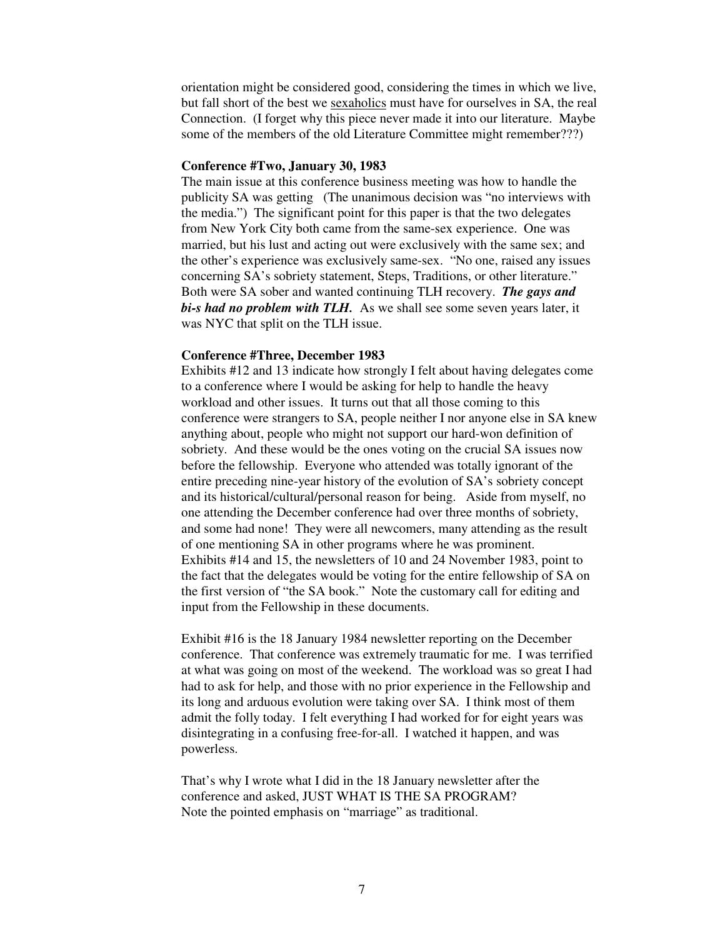orientation might be considered good, considering the times in which we live, but fall short of the best we sexaholics must have for ourselves in SA, the real Connection. (I forget why this piece never made it into our literature. Maybe some of the members of the old Literature Committee might remember???)

#### **Conference #Two, January 30, 1983**

The main issue at this conference business meeting was how to handle the publicity SA was getting (The unanimous decision was "no interviews with the media.") The significant point for this paper is that the two delegates from New York City both came from the same-sex experience. One was married, but his lust and acting out were exclusively with the same sex; and the other's experience was exclusively same-sex. "No one, raised any issues concerning SA's sobriety statement, Steps, Traditions, or other literature." Both were SA sober and wanted continuing TLH recovery. *The gays and bi-s had no problem with TLH.* As we shall see some seven years later, it was NYC that split on the TLH issue.

#### **Conference #Three, December 1983**

Exhibits #12 and 13 indicate how strongly I felt about having delegates come to a conference where I would be asking for help to handle the heavy workload and other issues. It turns out that all those coming to this conference were strangers to SA, people neither I nor anyone else in SA knew anything about, people who might not support our hard-won definition of sobriety. And these would be the ones voting on the crucial SA issues now before the fellowship. Everyone who attended was totally ignorant of the entire preceding nine-year history of the evolution of SA's sobriety concept and its historical/cultural/personal reason for being. Aside from myself, no one attending the December conference had over three months of sobriety, and some had none! They were all newcomers, many attending as the result of one mentioning SA in other programs where he was prominent. Exhibits #14 and 15, the newsletters of 10 and 24 November 1983, point to the fact that the delegates would be voting for the entire fellowship of SA on the first version of "the SA book." Note the customary call for editing and input from the Fellowship in these documents.

Exhibit #16 is the 18 January 1984 newsletter reporting on the December conference. That conference was extremely traumatic for me. I was terrified at what was going on most of the weekend. The workload was so great I had had to ask for help, and those with no prior experience in the Fellowship and its long and arduous evolution were taking over SA. I think most of them admit the folly today. I felt everything I had worked for for eight years was disintegrating in a confusing free-for-all. I watched it happen, and was powerless.

That's why I wrote what I did in the 18 January newsletter after the conference and asked, JUST WHAT IS THE SA PROGRAM? Note the pointed emphasis on "marriage" as traditional.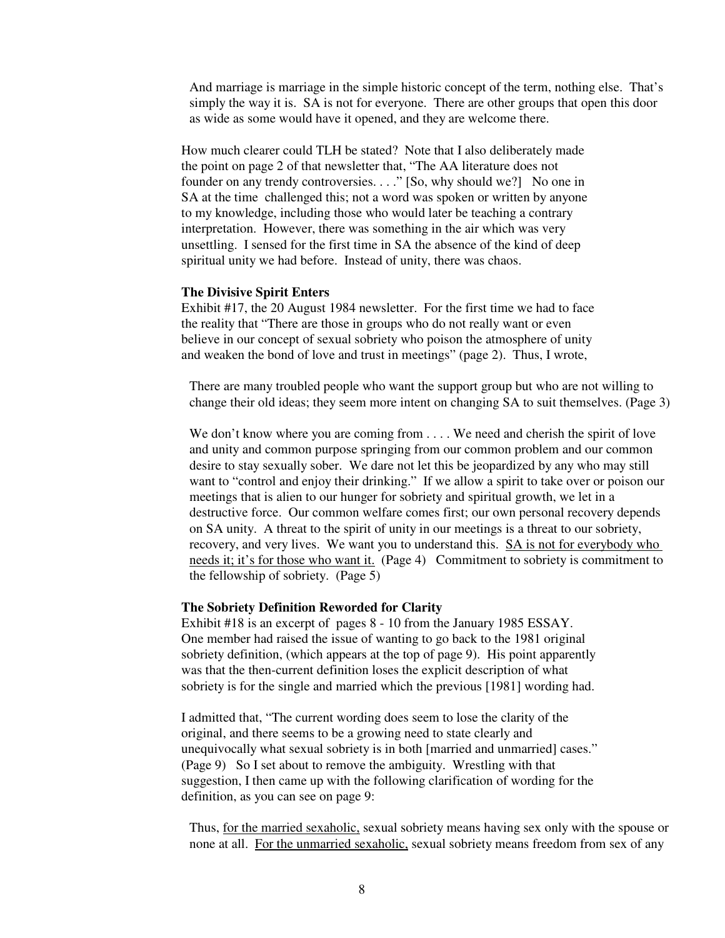And marriage is marriage in the simple historic concept of the term, nothing else. That's simply the way it is. SA is not for everyone. There are other groups that open this door as wide as some would have it opened, and they are welcome there.

How much clearer could TLH be stated? Note that I also deliberately made the point on page 2 of that newsletter that, "The AA literature does not founder on any trendy controversies. . . ." [So, why should we?] No one in SA at the time challenged this; not a word was spoken or written by anyone to my knowledge, including those who would later be teaching a contrary interpretation. However, there was something in the air which was very unsettling. I sensed for the first time in SA the absence of the kind of deep spiritual unity we had before. Instead of unity, there was chaos.

# **The Divisive Spirit Enters**

Exhibit #17, the 20 August 1984 newsletter. For the first time we had to face the reality that "There are those in groups who do not really want or even believe in our concept of sexual sobriety who poison the atmosphere of unity and weaken the bond of love and trust in meetings" (page 2). Thus, I wrote,

There are many troubled people who want the support group but who are not willing to change their old ideas; they seem more intent on changing SA to suit themselves. (Page 3)

We don't know where you are coming from . . . . We need and cherish the spirit of love and unity and common purpose springing from our common problem and our common desire to stay sexually sober. We dare not let this be jeopardized by any who may still want to "control and enjoy their drinking." If we allow a spirit to take over or poison our meetings that is alien to our hunger for sobriety and spiritual growth, we let in a destructive force. Our common welfare comes first; our own personal recovery depends on SA unity. A threat to the spirit of unity in our meetings is a threat to our sobriety, recovery, and very lives. We want you to understand this. SA is not for everybody who needs it; it's for those who want it. (Page 4) Commitment to sobriety is commitment to the fellowship of sobriety. (Page 5)

## **The Sobriety Definition Reworded for Clarity**

Exhibit #18 is an excerpt of pages 8 - 10 from the January 1985 ESSAY. One member had raised the issue of wanting to go back to the 1981 original sobriety definition, (which appears at the top of page 9). His point apparently was that the then-current definition loses the explicit description of what sobriety is for the single and married which the previous [1981] wording had.

I admitted that, "The current wording does seem to lose the clarity of the original, and there seems to be a growing need to state clearly and unequivocally what sexual sobriety is in both [married and unmarried] cases." (Page 9) So I set about to remove the ambiguity. Wrestling with that suggestion, I then came up with the following clarification of wording for the definition, as you can see on page 9:

Thus, for the married sexaholic, sexual sobriety means having sex only with the spouse or none at all. For the unmarried sexaholic, sexual sobriety means freedom from sex of any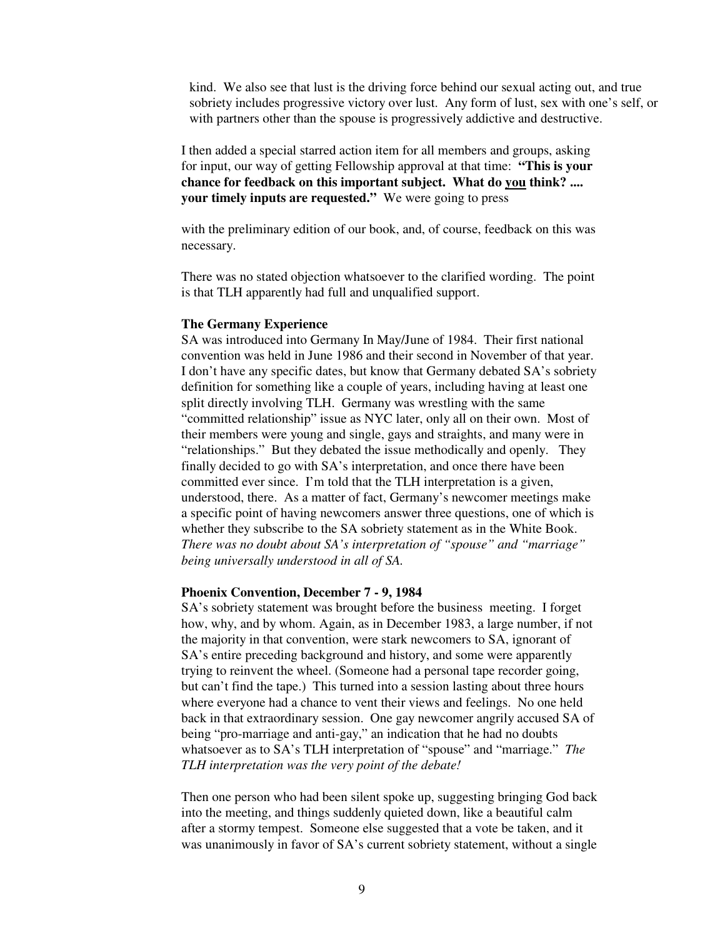kind. We also see that lust is the driving force behind our sexual acting out, and true sobriety includes progressive victory over lust. Any form of lust, sex with one's self, or with partners other than the spouse is progressively addictive and destructive.

I then added a special starred action item for all members and groups, asking for input, our way of getting Fellowship approval at that time: **"This is your chance for feedback on this important subject. What do you think? .... your timely inputs are requested."** We were going to press

with the preliminary edition of our book, and, of course, feedback on this was necessary.

There was no stated objection whatsoever to the clarified wording. The point is that TLH apparently had full and unqualified support.

#### **The Germany Experience**

SA was introduced into Germany In May/June of 1984. Their first national convention was held in June 1986 and their second in November of that year. I don't have any specific dates, but know that Germany debated SA's sobriety definition for something like a couple of years, including having at least one split directly involving TLH. Germany was wrestling with the same "committed relationship" issue as NYC later, only all on their own. Most of their members were young and single, gays and straights, and many were in "relationships." But they debated the issue methodically and openly. They finally decided to go with SA's interpretation, and once there have been committed ever since. I'm told that the TLH interpretation is a given, understood, there. As a matter of fact, Germany's newcomer meetings make a specific point of having newcomers answer three questions, one of which is whether they subscribe to the SA sobriety statement as in the White Book. *There was no doubt about SA's interpretation of "spouse" and "marriage" being universally understood in all of SA.*

## **Phoenix Convention, December 7 - 9, 1984**

SA's sobriety statement was brought before the business meeting. I forget how, why, and by whom. Again, as in December 1983, a large number, if not the majority in that convention, were stark newcomers to SA, ignorant of SA's entire preceding background and history, and some were apparently trying to reinvent the wheel. (Someone had a personal tape recorder going, but can't find the tape.) This turned into a session lasting about three hours where everyone had a chance to vent their views and feelings. No one held back in that extraordinary session. One gay newcomer angrily accused SA of being "pro-marriage and anti-gay," an indication that he had no doubts whatsoever as to SA's TLH interpretation of "spouse" and "marriage." *The TLH interpretation was the very point of the debate!*

Then one person who had been silent spoke up, suggesting bringing God back into the meeting, and things suddenly quieted down, like a beautiful calm after a stormy tempest. Someone else suggested that a vote be taken, and it was unanimously in favor of SA's current sobriety statement, without a single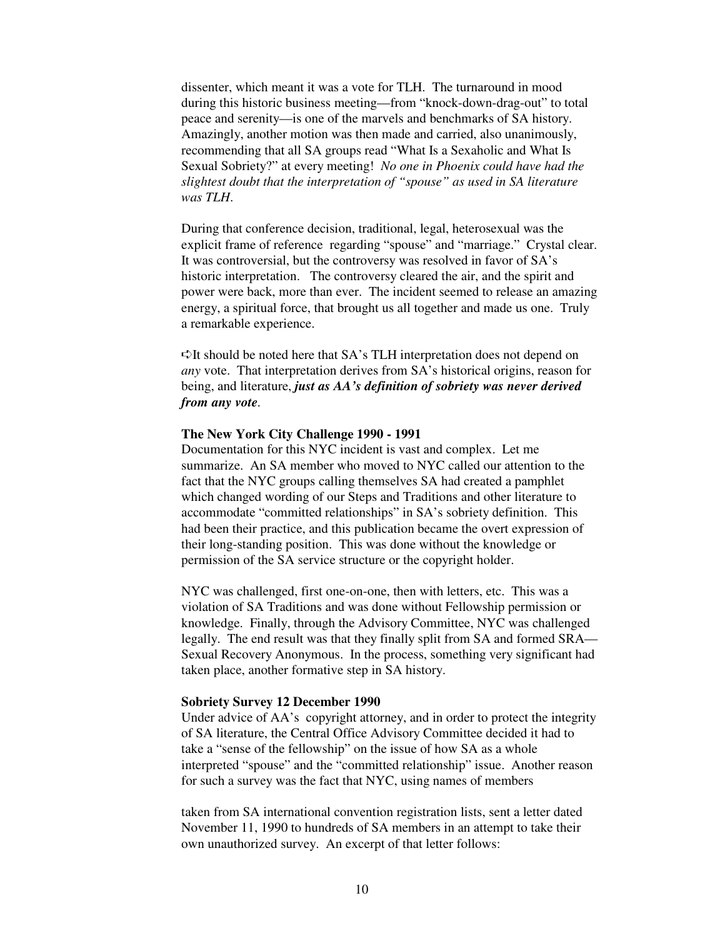dissenter, which meant it was a vote for TLH. The turnaround in mood during this historic business meeting—from "knock-down-drag-out" to total peace and serenity—is one of the marvels and benchmarks of SA history. Amazingly, another motion was then made and carried, also unanimously, recommending that all SA groups read "What Is a Sexaholic and What Is Sexual Sobriety?" at every meeting! *No one in Phoenix could have had the slightest doubt that the interpretation of "spouse" as used in SA literature was TLH*.

During that conference decision, traditional, legal, heterosexual was the explicit frame of reference regarding "spouse" and "marriage." Crystal clear. It was controversial, but the controversy was resolved in favor of SA's historic interpretation. The controversy cleared the air, and the spirit and power were back, more than ever. The incident seemed to release an amazing energy, a spiritual force, that brought us all together and made us one. Truly a remarkable experience.

 $\triangle$ It should be noted here that SA's TLH interpretation does not depend on *any* vote. That interpretation derives from SA's historical origins, reason for being, and literature, *just as AA's definition of sobriety was never derived from any vote.*

#### **The New York City Challenge 1990 - 1991**

Documentation for this NYC incident is vast and complex. Let me summarize. An SA member who moved to NYC called our attention to the fact that the NYC groups calling themselves SA had created a pamphlet which changed wording of our Steps and Traditions and other literature to accommodate "committed relationships" in SA's sobriety definition. This had been their practice, and this publication became the overt expression of their long-standing position. This was done without the knowledge or permission of the SA service structure or the copyright holder.

NYC was challenged, first one-on-one, then with letters, etc. This was a violation of SA Traditions and was done without Fellowship permission or knowledge. Finally, through the Advisory Committee, NYC was challenged legally. The end result was that they finally split from SA and formed SRA— Sexual Recovery Anonymous. In the process, something very significant had taken place, another formative step in SA history.

#### **Sobriety Survey 12 December 1990**

Under advice of AA's copyright attorney, and in order to protect the integrity of SA literature, the Central Office Advisory Committee decided it had to take a "sense of the fellowship" on the issue of how SA as a whole interpreted "spouse" and the "committed relationship" issue. Another reason for such a survey was the fact that NYC, using names of members

taken from SA international convention registration lists, sent a letter dated November 11, 1990 to hundreds of SA members in an attempt to take their own unauthorized survey. An excerpt of that letter follows: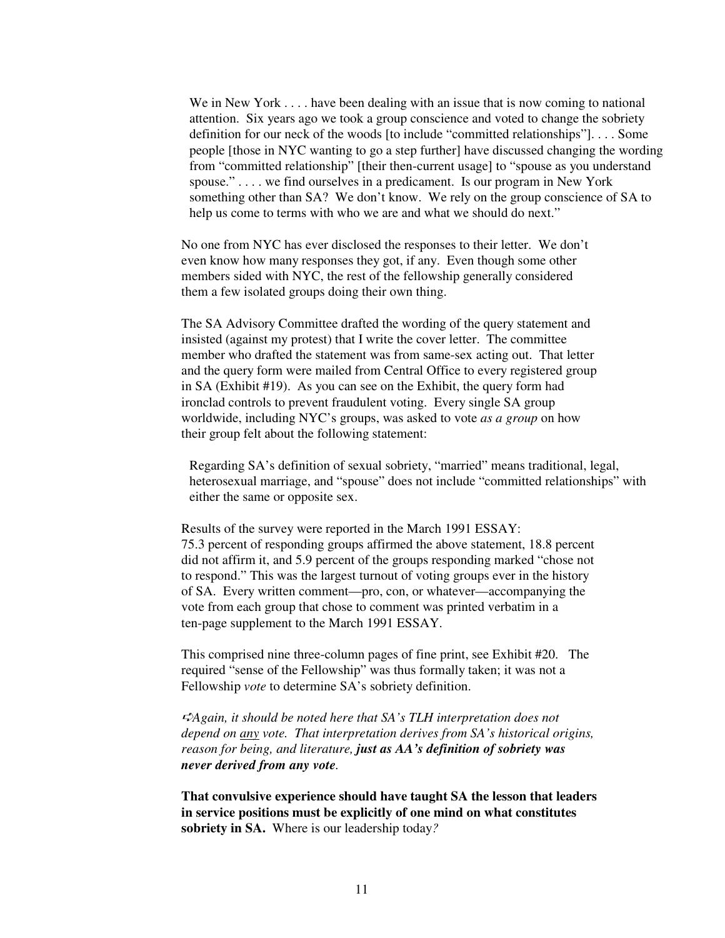We in New York . . . . have been dealing with an issue that is now coming to national attention. Six years ago we took a group conscience and voted to change the sobriety definition for our neck of the woods [to include "committed relationships"]. . . . Some people [those in NYC wanting to go a step further] have discussed changing the wording from "committed relationship" [their then-current usage] to "spouse as you understand spouse." . . . . we find ourselves in a predicament. Is our program in New York something other than SA? We don't know. We rely on the group conscience of SA to help us come to terms with who we are and what we should do next."

No one from NYC has ever disclosed the responses to their letter. We don't even know how many responses they got, if any. Even though some other members sided with NYC, the rest of the fellowship generally considered them a few isolated groups doing their own thing.

The SA Advisory Committee drafted the wording of the query statement and insisted (against my protest) that I write the cover letter. The committee member who drafted the statement was from same-sex acting out. That letter and the query form were mailed from Central Office to every registered group in SA (Exhibit #19). As you can see on the Exhibit, the query form had ironclad controls to prevent fraudulent voting. Every single SA group worldwide, including NYC's groups, was asked to vote *as a group* on how their group felt about the following statement:

Regarding SA's definition of sexual sobriety, "married" means traditional, legal, heterosexual marriage, and "spouse" does not include "committed relationships" with either the same or opposite sex.

Results of the survey were reported in the March 1991 ESSAY: 75.3 percent of responding groups affirmed the above statement, 18.8 percent did not affirm it, and 5.9 percent of the groups responding marked "chose not to respond." This was the largest turnout of voting groups ever in the history of SA. Every written comment—pro, con, or whatever—accompanying the vote from each group that chose to comment was printed verbatim in a ten-page supplement to the March 1991 ESSAY.

This comprised nine three-column pages of fine print, see Exhibit #20. The required "sense of the Fellowship" was thus formally taken; it was not a Fellowship *vote* to determine SA's sobriety definition.

-*Again, it should be noted here that SA's TLH interpretation does not depend on any vote. That interpretation derives from SA's historical origins, reason for being, and literature, just as AA's definition of sobriety was never derived from any vote.* 

**That convulsive experience should have taught SA the lesson that leaders in service positions must be explicitly of one mind on what constitutes sobriety in SA.** Where is our leadership today*?*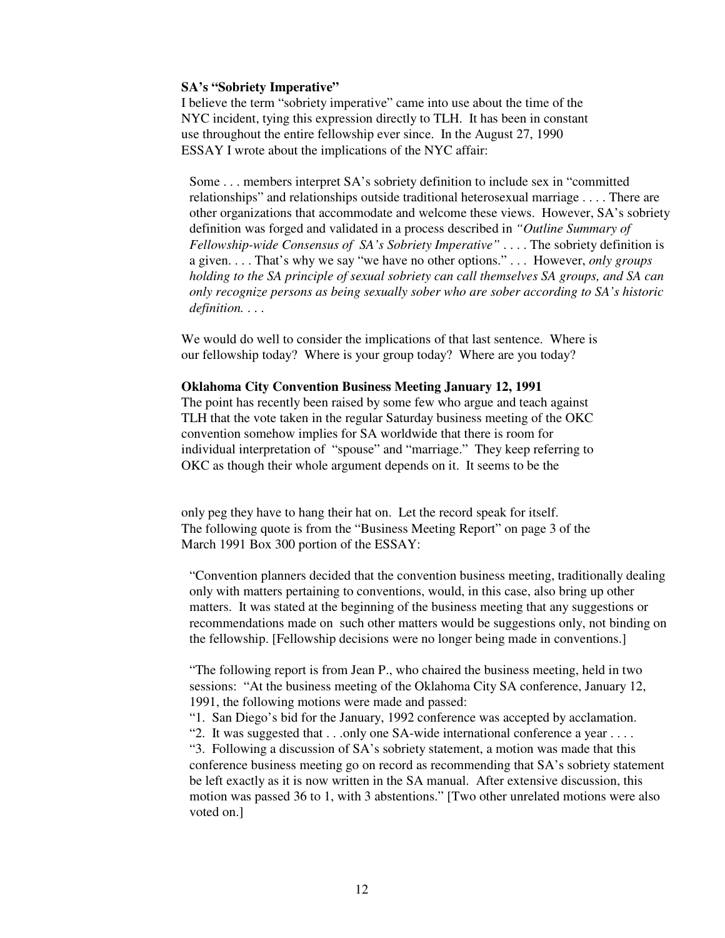## **SA's "Sobriety Imperative"**

I believe the term "sobriety imperative" came into use about the time of the NYC incident, tying this expression directly to TLH. It has been in constant use throughout the entire fellowship ever since. In the August 27, 1990 ESSAY I wrote about the implications of the NYC affair:

Some . . . members interpret SA's sobriety definition to include sex in "committed relationships" and relationships outside traditional heterosexual marriage . . . . There are other organizations that accommodate and welcome these views. However, SA's sobriety definition was forged and validated in a process described in *"Outline Summary of Fellowship-wide Consensus of SA's Sobriety Imperative"* . . . . The sobriety definition is a given. . . . That's why we say "we have no other options." . . . However, *only groups holding to the SA principle of sexual sobriety can call themselves SA groups, and SA can only recognize persons as being sexually sober who are sober according to SA's historic definition.* . . .

We would do well to consider the implications of that last sentence. Where is our fellowship today? Where is your group today? Where are you today?

## **Oklahoma City Convention Business Meeting January 12, 1991**

The point has recently been raised by some few who argue and teach against TLH that the vote taken in the regular Saturday business meeting of the OKC convention somehow implies for SA worldwide that there is room for individual interpretation of "spouse" and "marriage." They keep referring to OKC as though their whole argument depends on it. It seems to be the

only peg they have to hang their hat on. Let the record speak for itself. The following quote is from the "Business Meeting Report" on page 3 of the March 1991 Box 300 portion of the ESSAY:

"Convention planners decided that the convention business meeting, traditionally dealing only with matters pertaining to conventions, would, in this case, also bring up other matters. It was stated at the beginning of the business meeting that any suggestions or recommendations made on such other matters would be suggestions only, not binding on the fellowship. [Fellowship decisions were no longer being made in conventions.]

"The following report is from Jean P., who chaired the business meeting, held in two sessions: "At the business meeting of the Oklahoma City SA conference, January 12, 1991, the following motions were made and passed:

"1. San Diego's bid for the January, 1992 conference was accepted by acclamation.

"2. It was suggested that . . .only one SA-wide international conference a year . . . .

"3. Following a discussion of SA's sobriety statement, a motion was made that this conference business meeting go on record as recommending that SA's sobriety statement be left exactly as it is now written in the SA manual. After extensive discussion, this motion was passed 36 to 1, with 3 abstentions." [Two other unrelated motions were also voted on.]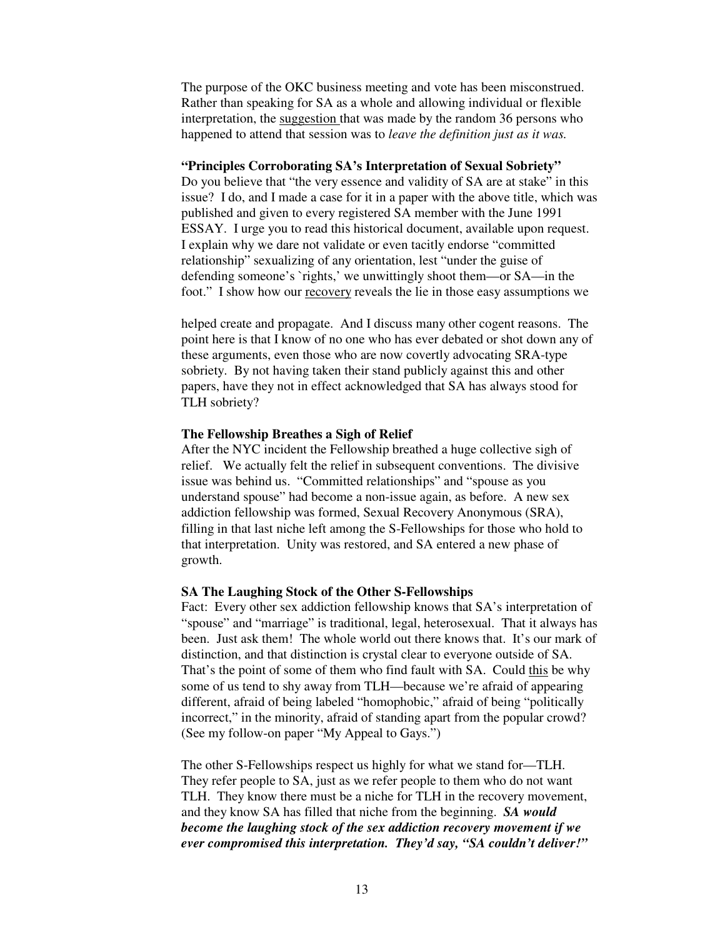The purpose of the OKC business meeting and vote has been misconstrued. Rather than speaking for SA as a whole and allowing individual or flexible interpretation, the suggestion that was made by the random 36 persons who happened to attend that session was to *leave the definition just as it was.*

# **"Principles Corroborating SA's Interpretation of Sexual Sobriety"**

Do you believe that "the very essence and validity of SA are at stake" in this issue? I do, and I made a case for it in a paper with the above title, which was published and given to every registered SA member with the June 1991 ESSAY. I urge you to read this historical document, available upon request. I explain why we dare not validate or even tacitly endorse "committed relationship" sexualizing of any orientation, lest "under the guise of defending someone's `rights,' we unwittingly shoot them—or SA—in the foot." I show how our recovery reveals the lie in those easy assumptions we

helped create and propagate. And I discuss many other cogent reasons. The point here is that I know of no one who has ever debated or shot down any of these arguments, even those who are now covertly advocating SRA-type sobriety. By not having taken their stand publicly against this and other papers, have they not in effect acknowledged that SA has always stood for TLH sobriety?

#### **The Fellowship Breathes a Sigh of Relief**

After the NYC incident the Fellowship breathed a huge collective sigh of relief. We actually felt the relief in subsequent conventions. The divisive issue was behind us. "Committed relationships" and "spouse as you understand spouse" had become a non-issue again, as before. A new sex addiction fellowship was formed, Sexual Recovery Anonymous (SRA), filling in that last niche left among the S-Fellowships for those who hold to that interpretation. Unity was restored, and SA entered a new phase of growth.

#### **SA The Laughing Stock of the Other S-Fellowships**

Fact: Every other sex addiction fellowship knows that SA's interpretation of "spouse" and "marriage" is traditional, legal, heterosexual. That it always has been. Just ask them! The whole world out there knows that. It's our mark of distinction, and that distinction is crystal clear to everyone outside of SA. That's the point of some of them who find fault with SA. Could this be why some of us tend to shy away from TLH—because we're afraid of appearing different, afraid of being labeled "homophobic," afraid of being "politically incorrect," in the minority, afraid of standing apart from the popular crowd? (See my follow-on paper "My Appeal to Gays.")

The other S-Fellowships respect us highly for what we stand for—TLH. They refer people to SA, just as we refer people to them who do not want TLH. They know there must be a niche for TLH in the recovery movement, and they know SA has filled that niche from the beginning. *SA would become the laughing stock of the sex addiction recovery movement if we ever compromised this interpretation. They'd say, "SA couldn't deliver!"*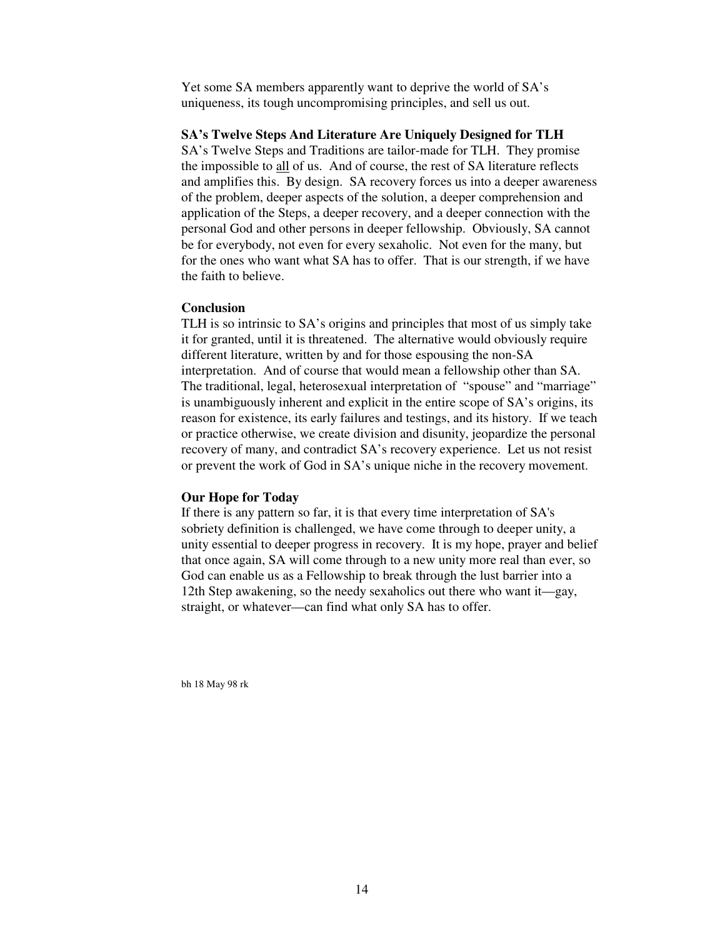Yet some SA members apparently want to deprive the world of SA's uniqueness, its tough uncompromising principles, and sell us out.

### **SA's Twelve Steps And Literature Are Uniquely Designed for TLH**

SA's Twelve Steps and Traditions are tailor-made for TLH. They promise the impossible to all of us. And of course, the rest of SA literature reflects and amplifies this. By design. SA recovery forces us into a deeper awareness of the problem, deeper aspects of the solution, a deeper comprehension and application of the Steps, a deeper recovery, and a deeper connection with the personal God and other persons in deeper fellowship. Obviously, SA cannot be for everybody, not even for every sexaholic. Not even for the many, but for the ones who want what SA has to offer. That is our strength, if we have the faith to believe.

## **Conclusion**

TLH is so intrinsic to SA's origins and principles that most of us simply take it for granted, until it is threatened. The alternative would obviously require different literature, written by and for those espousing the non-SA interpretation. And of course that would mean a fellowship other than SA. The traditional, legal, heterosexual interpretation of "spouse" and "marriage" is unambiguously inherent and explicit in the entire scope of SA's origins, its reason for existence, its early failures and testings, and its history. If we teach or practice otherwise, we create division and disunity, jeopardize the personal recovery of many, and contradict SA's recovery experience. Let us not resist or prevent the work of God in SA's unique niche in the recovery movement.

### **Our Hope for Today**

If there is any pattern so far, it is that every time interpretation of SA's sobriety definition is challenged, we have come through to deeper unity, a unity essential to deeper progress in recovery. It is my hope, prayer and belief that once again, SA will come through to a new unity more real than ever, so God can enable us as a Fellowship to break through the lust barrier into a 12th Step awakening, so the needy sexaholics out there who want it—gay, straight, or whatever—can find what only SA has to offer.

bh 18 May 98 rk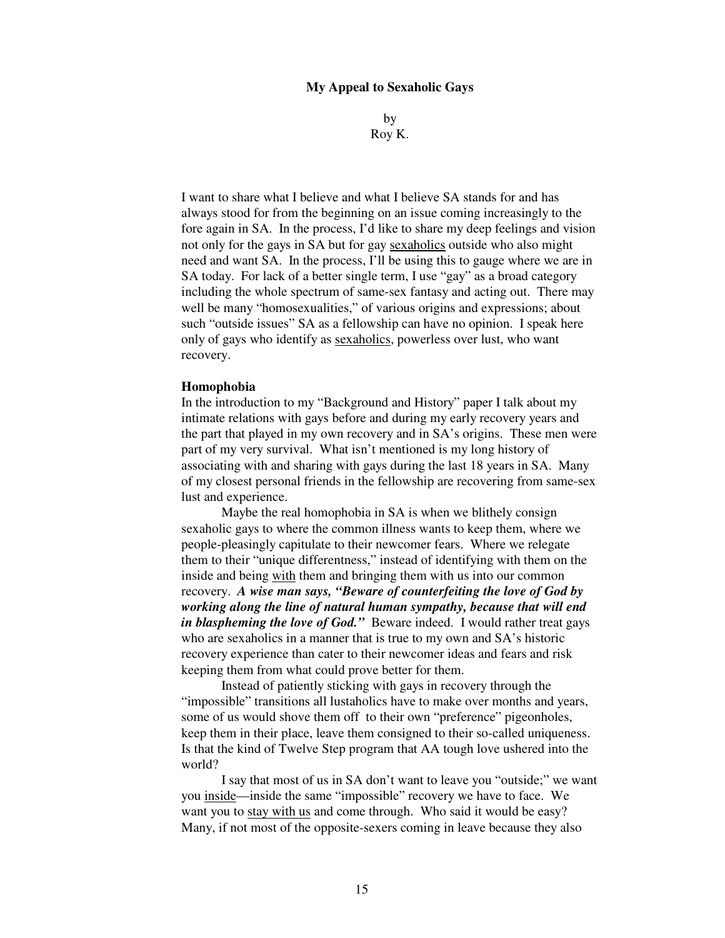## **My Appeal to Sexaholic Gays**

by Roy K.

I want to share what I believe and what I believe SA stands for and has always stood for from the beginning on an issue coming increasingly to the fore again in SA. In the process, I'd like to share my deep feelings and vision not only for the gays in SA but for gay sexaholics outside who also might need and want SA. In the process, I'll be using this to gauge where we are in SA today. For lack of a better single term, I use "gay" as a broad category including the whole spectrum of same-sex fantasy and acting out. There may well be many "homosexualities," of various origins and expressions; about such "outside issues" SA as a fellowship can have no opinion. I speak here only of gays who identify as sexaholics, powerless over lust, who want recovery.

#### **Homophobia**

In the introduction to my "Background and History" paper I talk about my intimate relations with gays before and during my early recovery years and the part that played in my own recovery and in SA's origins. These men were part of my very survival. What isn't mentioned is my long history of associating with and sharing with gays during the last 18 years in SA. Many of my closest personal friends in the fellowship are recovering from same-sex lust and experience.

 Maybe the real homophobia in SA is when we blithely consign sexaholic gays to where the common illness wants to keep them, where we people-pleasingly capitulate to their newcomer fears. Where we relegate them to their "unique differentness," instead of identifying with them on the inside and being with them and bringing them with us into our common recovery. *A wise man says, "Beware of counterfeiting the love of God by working along the line of natural human sympathy, because that will end in blaspheming the love of God.*" Beware indeed. I would rather treat gays who are sexaholics in a manner that is true to my own and SA's historic recovery experience than cater to their newcomer ideas and fears and risk keeping them from what could prove better for them.

 Instead of patiently sticking with gays in recovery through the "impossible" transitions all lustaholics have to make over months and years, some of us would shove them off to their own "preference" pigeonholes, keep them in their place, leave them consigned to their so-called uniqueness. Is that the kind of Twelve Step program that AA tough love ushered into the world?

 I say that most of us in SA don't want to leave you "outside;" we want you inside—inside the same "impossible" recovery we have to face. We want you to stay with us and come through. Who said it would be easy? Many, if not most of the opposite-sexers coming in leave because they also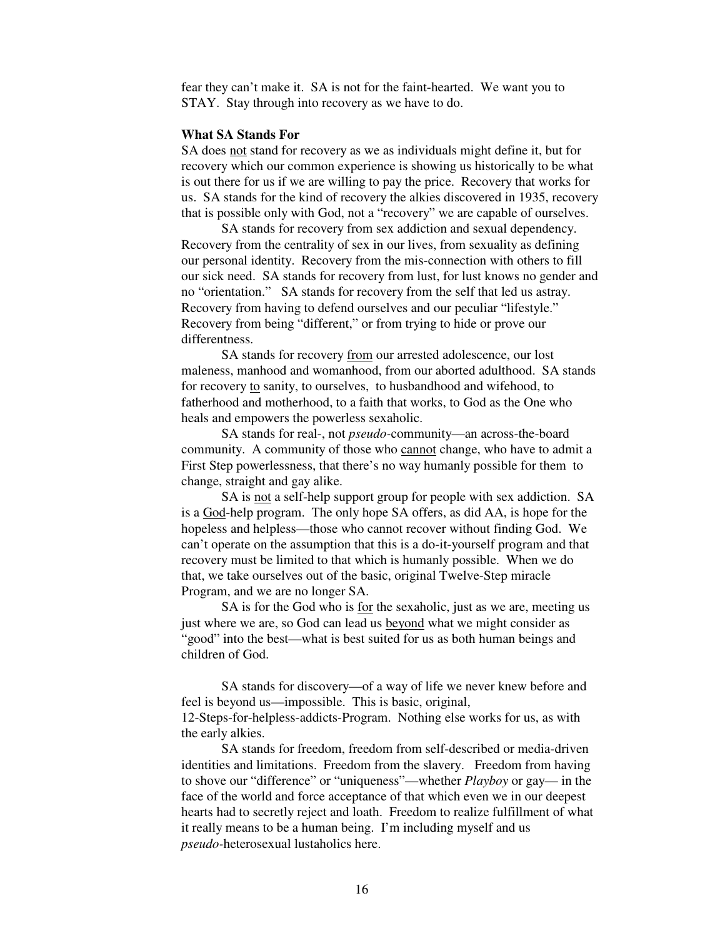fear they can't make it. SA is not for the faint-hearted. We want you to STAY. Stay through into recovery as we have to do.

### **What SA Stands For**

SA does not stand for recovery as we as individuals might define it, but for recovery which our common experience is showing us historically to be what is out there for us if we are willing to pay the price. Recovery that works for us. SA stands for the kind of recovery the alkies discovered in 1935, recovery that is possible only with God, not a "recovery" we are capable of ourselves.

 SA stands for recovery from sex addiction and sexual dependency. Recovery from the centrality of sex in our lives, from sexuality as defining our personal identity. Recovery from the mis-connection with others to fill our sick need. SA stands for recovery from lust, for lust knows no gender and no "orientation." SA stands for recovery from the self that led us astray. Recovery from having to defend ourselves and our peculiar "lifestyle." Recovery from being "different," or from trying to hide or prove our differentness.

 SA stands for recovery from our arrested adolescence, our lost maleness, manhood and womanhood, from our aborted adulthood. SA stands for recovery to sanity, to ourselves, to husbandhood and wifehood, to fatherhood and motherhood, to a faith that works, to God as the One who heals and empowers the powerless sexaholic.

 SA stands for real-, not *pseudo-*community—an across-the-board community. A community of those who cannot change, who have to admit a First Step powerlessness, that there's no way humanly possible for them to change, straight and gay alike.

 SA is not a self-help support group for people with sex addiction. SA is a God-help program. The only hope SA offers, as did AA, is hope for the hopeless and helpless—those who cannot recover without finding God. We can't operate on the assumption that this is a do-it-yourself program and that recovery must be limited to that which is humanly possible. When we do that, we take ourselves out of the basic, original Twelve-Step miracle Program, and we are no longer SA.

 SA is for the God who is for the sexaholic, just as we are, meeting us just where we are, so God can lead us beyond what we might consider as "good" into the best—what is best suited for us as both human beings and children of God.

 SA stands for discovery—of a way of life we never knew before and feel is beyond us—impossible. This is basic, original, 12-Steps-for-helpless-addicts-Program. Nothing else works for us, as with the early alkies.

 SA stands for freedom, freedom from self-described or media-driven identities and limitations. Freedom from the slavery. Freedom from having to shove our "difference" or "uniqueness"—whether *Playboy* or gay— in the face of the world and force acceptance of that which even we in our deepest hearts had to secretly reject and loath. Freedom to realize fulfillment of what it really means to be a human being. I'm including myself and us *pseudo-*heterosexual lustaholics here.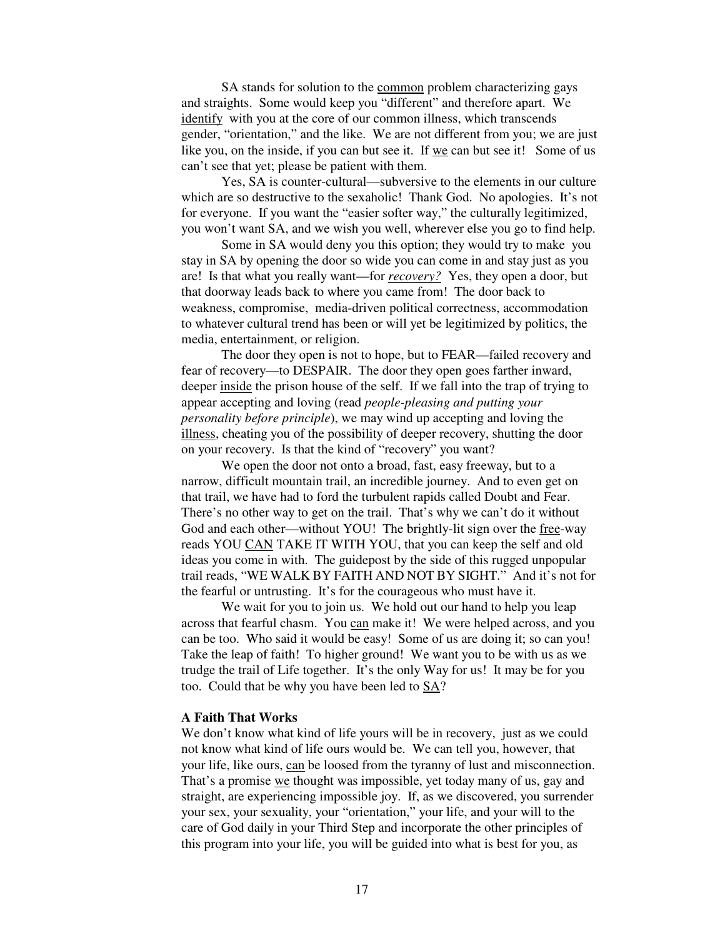SA stands for solution to the common problem characterizing gays and straights. Some would keep you "different" and therefore apart. We identify with you at the core of our common illness, which transcends gender, "orientation," and the like. We are not different from you; we are just like you, on the inside, if you can but see it. If we can but see it! Some of us can't see that yet; please be patient with them.

 Yes, SA is counter-cultural—subversive to the elements in our culture which are so destructive to the sexaholic! Thank God. No apologies. It's not for everyone. If you want the "easier softer way," the culturally legitimized, you won't want SA, and we wish you well, wherever else you go to find help.

 Some in SA would deny you this option; they would try to make you stay in SA by opening the door so wide you can come in and stay just as you are! Is that what you really want—for *recovery?* Yes, they open a door, but that doorway leads back to where you came from! The door back to weakness, compromise, media-driven political correctness, accommodation to whatever cultural trend has been or will yet be legitimized by politics, the media, entertainment, or religion.

 The door they open is not to hope, but to FEAR—failed recovery and fear of recovery—to DESPAIR. The door they open goes farther inward, deeper inside the prison house of the self. If we fall into the trap of trying to appear accepting and loving (read *people-pleasing and putting your personality before principle*), we may wind up accepting and loving the illness, cheating you of the possibility of deeper recovery, shutting the door on your recovery. Is that the kind of "recovery" you want?

 We open the door not onto a broad, fast, easy freeway, but to a narrow, difficult mountain trail, an incredible journey. And to even get on that trail, we have had to ford the turbulent rapids called Doubt and Fear. There's no other way to get on the trail. That's why we can't do it without God and each other—without YOU! The brightly-lit sign over the free-way reads YOU CAN TAKE IT WITH YOU, that you can keep the self and old ideas you come in with. The guidepost by the side of this rugged unpopular trail reads, "WE WALK BY FAITH AND NOT BY SIGHT." And it's not for the fearful or untrusting. It's for the courageous who must have it.

We wait for you to join us. We hold out our hand to help you leap across that fearful chasm. You can make it! We were helped across, and you can be too. Who said it would be easy! Some of us are doing it; so can you! Take the leap of faith! To higher ground! We want you to be with us as we trudge the trail of Life together. It's the only Way for us! It may be for you too. Could that be why you have been led to SA?

# **A Faith That Works**

We don't know what kind of life yours will be in recovery, just as we could not know what kind of life ours would be. We can tell you, however, that your life, like ours, can be loosed from the tyranny of lust and misconnection. That's a promise we thought was impossible, yet today many of us, gay and straight, are experiencing impossible joy. If, as we discovered, you surrender your sex, your sexuality, your "orientation," your life, and your will to the care of God daily in your Third Step and incorporate the other principles of this program into your life, you will be guided into what is best for you, as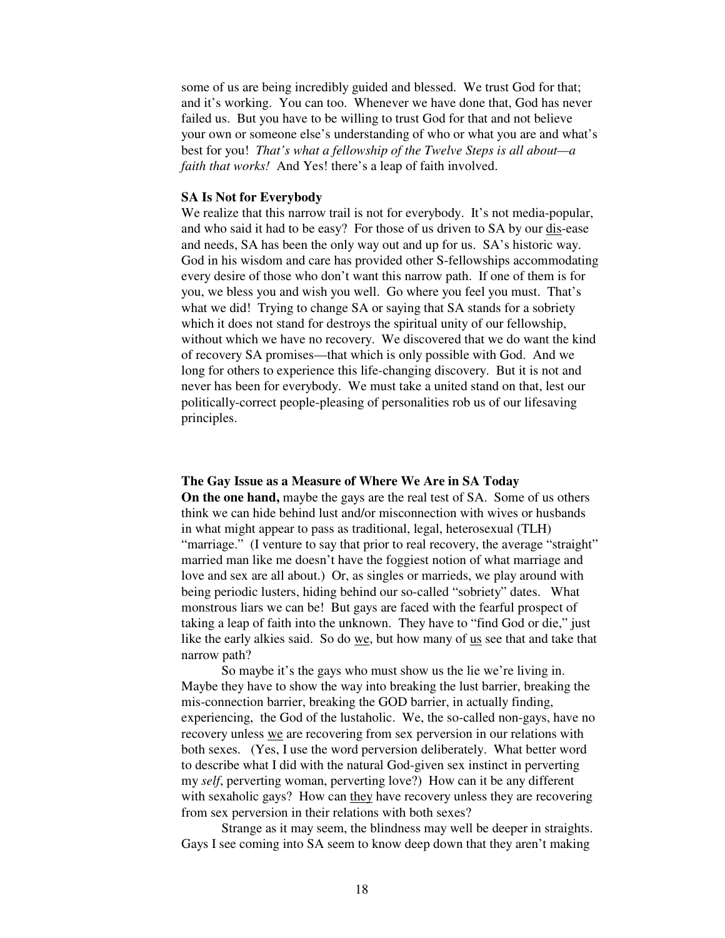some of us are being incredibly guided and blessed. We trust God for that; and it's working. You can too. Whenever we have done that, God has never failed us. But you have to be willing to trust God for that and not believe your own or someone else's understanding of who or what you are and what's best for you! *That's what a fellowship of the Twelve Steps is all about—a faith that works!* And Yes! there's a leap of faith involved.

### **SA Is Not for Everybody**

We realize that this narrow trail is not for everybody. It's not media-popular, and who said it had to be easy? For those of us driven to SA by our dis-ease and needs, SA has been the only way out and up for us. SA's historic way. God in his wisdom and care has provided other S-fellowships accommodating every desire of those who don't want this narrow path. If one of them is for you, we bless you and wish you well. Go where you feel you must. That's what we did! Trying to change SA or saying that SA stands for a sobriety which it does not stand for destroys the spiritual unity of our fellowship, without which we have no recovery. We discovered that we do want the kind of recovery SA promises—that which is only possible with God. And we long for others to experience this life-changing discovery. But it is not and never has been for everybody. We must take a united stand on that, lest our politically-correct people-pleasing of personalities rob us of our lifesaving principles.

#### **The Gay Issue as a Measure of Where We Are in SA Today**

**On the one hand,** maybe the gays are the real test of SA. Some of us others think we can hide behind lust and/or misconnection with wives or husbands in what might appear to pass as traditional, legal, heterosexual (TLH) "marriage." (I venture to say that prior to real recovery, the average "straight" married man like me doesn't have the foggiest notion of what marriage and love and sex are all about.) Or, as singles or marrieds, we play around with being periodic lusters, hiding behind our so-called "sobriety" dates. What monstrous liars we can be! But gays are faced with the fearful prospect of taking a leap of faith into the unknown. They have to "find God or die," just like the early alkies said. So do we, but how many of us see that and take that narrow path?

 So maybe it's the gays who must show us the lie we're living in. Maybe they have to show the way into breaking the lust barrier, breaking the mis-connection barrier, breaking the GOD barrier, in actually finding, experiencing, the God of the lustaholic. We, the so-called non-gays, have no recovery unless we are recovering from sex perversion in our relations with both sexes. (Yes, I use the word perversion deliberately. What better word to describe what I did with the natural God-given sex instinct in perverting my *self*, perverting woman, perverting love?) How can it be any different with sexaholic gays? How can they have recovery unless they are recovering from sex perversion in their relations with both sexes?

 Strange as it may seem, the blindness may well be deeper in straights. Gays I see coming into SA seem to know deep down that they aren't making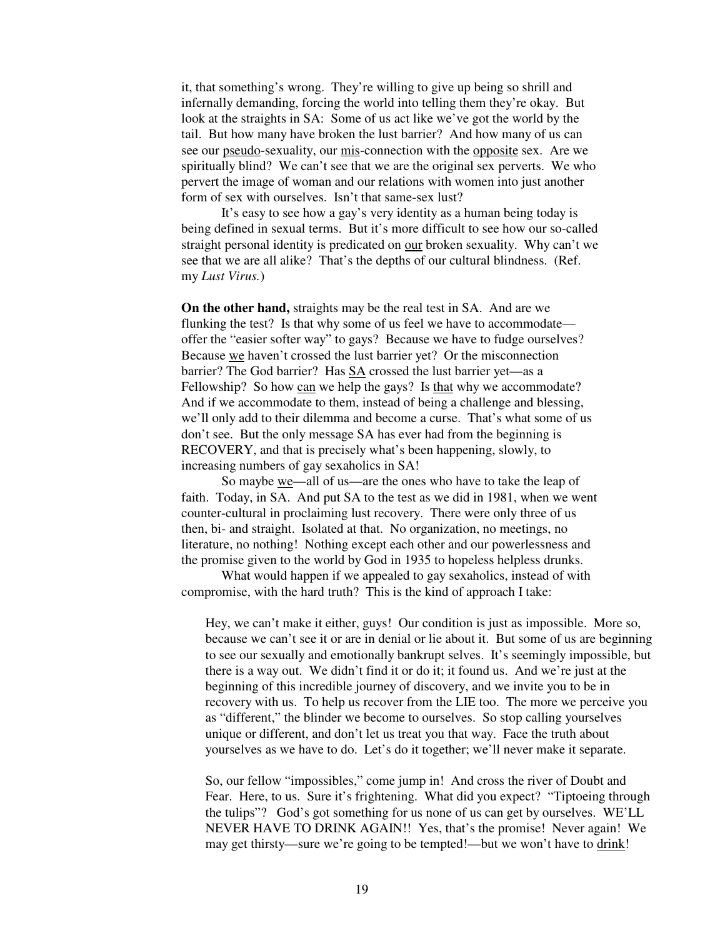it, that something's wrong. They're willing to give up being so shrill and infernally demanding, forcing the world into telling them they're okay. But look at the straights in SA: Some of us act like we've got the world by the tail. But how many have broken the lust barrier? And how many of us can see our pseudo-sexuality, our mis-connection with the opposite sex. Are we spiritually blind? We can't see that we are the original sex perverts. We who pervert the image of woman and our relations with women into just another form of sex with ourselves. Isn't that same-sex lust?

 It's easy to see how a gay's very identity as a human being today is being defined in sexual terms. But it's more difficult to see how our so-called straight personal identity is predicated on our broken sexuality. Why can't we see that we are all alike? That's the depths of our cultural blindness. (Ref. my *Lust Virus.*)

**On the other hand,** straights may be the real test in SA. And are we flunking the test? Is that why some of us feel we have to accommodate offer the "easier softer way" to gays? Because we have to fudge ourselves? Because we haven't crossed the lust barrier yet? Or the misconnection barrier? The God barrier? Has SA crossed the lust barrier yet—as a Fellowship? So how can we help the gays? Is that why we accommodate? And if we accommodate to them, instead of being a challenge and blessing, we'll only add to their dilemma and become a curse. That's what some of us don't see. But the only message SA has ever had from the beginning is RECOVERY, and that is precisely what's been happening, slowly, to increasing numbers of gay sexaholics in SA!

So maybe we—all of us—are the ones who have to take the leap of faith. Today, in SA. And put SA to the test as we did in 1981, when we went counter-cultural in proclaiming lust recovery. There were only three of us then, bi- and straight. Isolated at that. No organization, no meetings, no literature, no nothing! Nothing except each other and our powerlessness and the promise given to the world by God in 1935 to hopeless helpless drunks.

 What would happen if we appealed to gay sexaholics, instead of with compromise, with the hard truth? This is the kind of approach I take:

Hey, we can't make it either, guys! Our condition is just as impossible. More so, because we can't see it or are in denial or lie about it. But some of us are beginning to see our sexually and emotionally bankrupt selves. It's seemingly impossible, but there is a way out. We didn't find it or do it; it found us. And we're just at the beginning of this incredible journey of discovery, and we invite you to be in recovery with us. To help us recover from the LIE too. The more we perceive you as "different," the blinder we become to ourselves. So stop calling yourselves unique or different, and don't let us treat you that way. Face the truth about yourselves as we have to do. Let's do it together; we'll never make it separate.

So, our fellow "impossibles," come jump in! And cross the river of Doubt and Fear. Here, to us. Sure it's frightening. What did you expect? "Tiptoeing through the tulips"? God's got something for us none of us can get by ourselves. WE'LL NEVER HAVE TO DRINK AGAIN!! Yes, that's the promise! Never again! We may get thirsty—sure we're going to be tempted!—but we won't have to drink!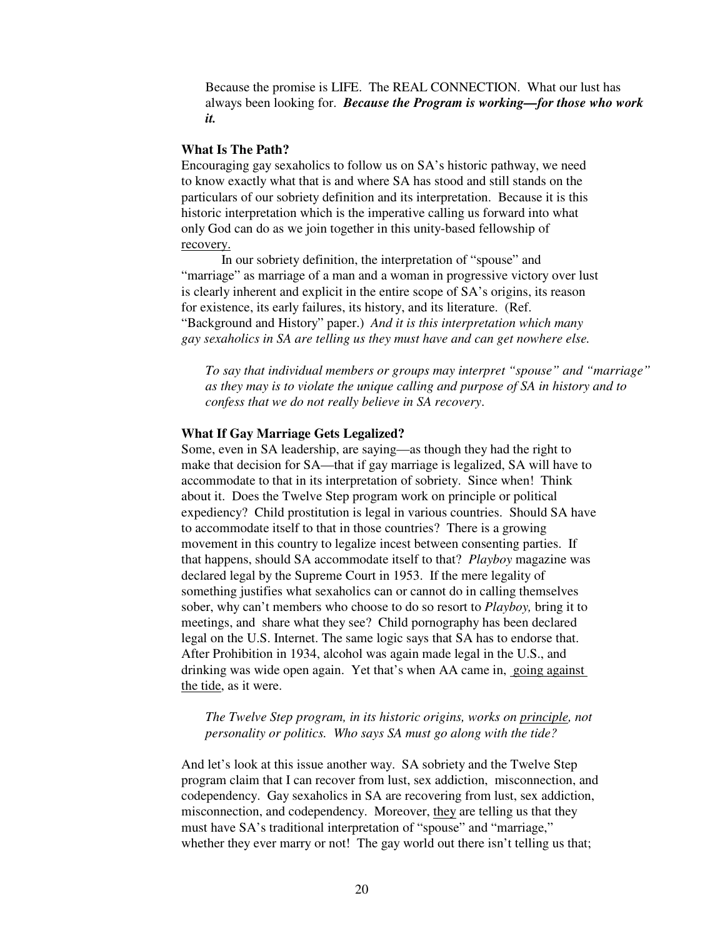Because the promise is LIFE. The REAL CONNECTION. What our lust has always been looking for. *Because the Program is working—for those who work it.*

# **What Is The Path?**

Encouraging gay sexaholics to follow us on SA's historic pathway, we need to know exactly what that is and where SA has stood and still stands on the particulars of our sobriety definition and its interpretation. Because it is this historic interpretation which is the imperative calling us forward into what only God can do as we join together in this unity-based fellowship of recovery.

 In our sobriety definition, the interpretation of "spouse" and "marriage" as marriage of a man and a woman in progressive victory over lust is clearly inherent and explicit in the entire scope of SA's origins, its reason for existence, its early failures, its history, and its literature. (Ref. "Background and History" paper.) *And it is this interpretation which many gay sexaholics in SA are telling us they must have and can get nowhere else.*

*To say that individual members or groups may interpret "spouse" and "marriage" as they may is to violate the unique calling and purpose of SA in history and to confess that we do not really believe in SA recovery*.

# **What If Gay Marriage Gets Legalized?**

Some, even in SA leadership, are saying—as though they had the right to make that decision for SA—that if gay marriage is legalized, SA will have to accommodate to that in its interpretation of sobriety. Since when! Think about it. Does the Twelve Step program work on principle or political expediency? Child prostitution is legal in various countries. Should SA have to accommodate itself to that in those countries? There is a growing movement in this country to legalize incest between consenting parties. If that happens, should SA accommodate itself to that? *Playboy* magazine was declared legal by the Supreme Court in 1953. If the mere legality of something justifies what sexaholics can or cannot do in calling themselves sober, why can't members who choose to do so resort to *Playboy,* bring it to meetings, and share what they see? Child pornography has been declared legal on the U.S. Internet. The same logic says that SA has to endorse that. After Prohibition in 1934, alcohol was again made legal in the U.S., and drinking was wide open again. Yet that's when AA came in, going against the tide, as it were.

# *The Twelve Step program, in its historic origins, works on principle, not personality or politics. Who says SA must go along with the tide?*

And let's look at this issue another way. SA sobriety and the Twelve Step program claim that I can recover from lust, sex addiction, misconnection, and codependency. Gay sexaholics in SA are recovering from lust, sex addiction, misconnection, and codependency. Moreover, they are telling us that they must have SA's traditional interpretation of "spouse" and "marriage," whether they ever marry or not! The gay world out there isn't telling us that;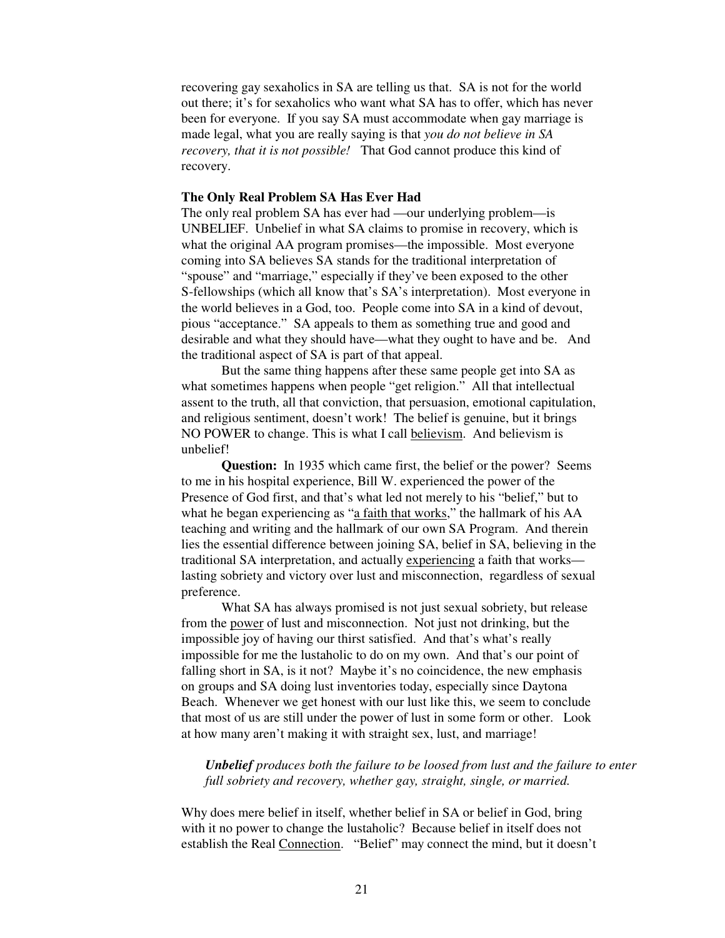recovering gay sexaholics in SA are telling us that. SA is not for the world out there; it's for sexaholics who want what SA has to offer, which has never been for everyone. If you say SA must accommodate when gay marriage is made legal, what you are really saying is that *you do not believe in SA recovery, that it is not possible!* That God cannot produce this kind of recovery.

## **The Only Real Problem SA Has Ever Had**

The only real problem SA has ever had —our underlying problem—is UNBELIEF. Unbelief in what SA claims to promise in recovery, which is what the original AA program promises—the impossible. Most everyone coming into SA believes SA stands for the traditional interpretation of "spouse" and "marriage," especially if they've been exposed to the other S-fellowships (which all know that's SA's interpretation). Most everyone in the world believes in a God, too. People come into SA in a kind of devout, pious "acceptance." SA appeals to them as something true and good and desirable and what they should have—what they ought to have and be. And the traditional aspect of SA is part of that appeal.

 But the same thing happens after these same people get into SA as what sometimes happens when people "get religion." All that intellectual assent to the truth, all that conviction, that persuasion, emotional capitulation, and religious sentiment, doesn't work! The belief is genuine, but it brings NO POWER to change. This is what I call believism. And believism is unbelief!

**Question:** In 1935 which came first, the belief or the power? Seems to me in his hospital experience, Bill W. experienced the power of the Presence of God first, and that's what led not merely to his "belief," but to what he began experiencing as "a faith that works," the hallmark of his AA teaching and writing and the hallmark of our own SA Program. And therein lies the essential difference between joining SA, belief in SA, believing in the traditional SA interpretation, and actually experiencing a faith that works lasting sobriety and victory over lust and misconnection, regardless of sexual preference.

 What SA has always promised is not just sexual sobriety, but release from the power of lust and misconnection. Not just not drinking, but the impossible joy of having our thirst satisfied. And that's what's really impossible for me the lustaholic to do on my own. And that's our point of falling short in SA, is it not? Maybe it's no coincidence, the new emphasis on groups and SA doing lust inventories today, especially since Daytona Beach. Whenever we get honest with our lust like this, we seem to conclude that most of us are still under the power of lust in some form or other. Look at how many aren't making it with straight sex, lust, and marriage!

*Unbelief produces both the failure to be loosed from lust and the failure to enter full sobriety and recovery, whether gay, straight, single, or married.*

Why does mere belief in itself, whether belief in SA or belief in God, bring with it no power to change the lustaholic? Because belief in itself does not establish the Real Connection. "Belief" may connect the mind, but it doesn't